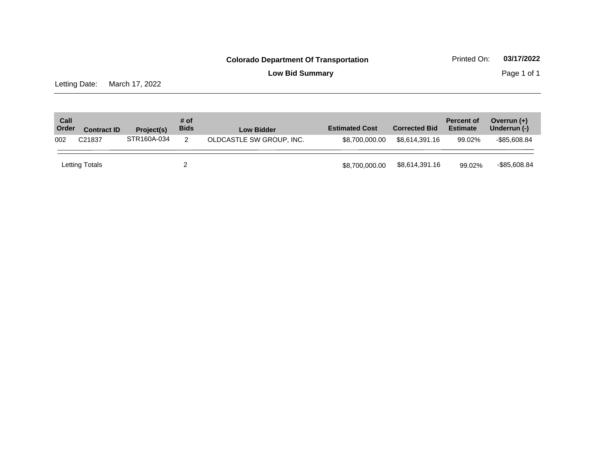**Low Bid Summary** Page 1 of 1

Letting Date: March 17, 2022

| Call<br>Order | <b>Contract ID</b> | Project(s)  | # of<br><b>Bids</b> | <b>Low Bidder</b>        | <b>Estimated Cost</b> | <b>Corrected Bid</b> | <b>Percent of</b><br><b>Estimate</b> | Overrun (+)<br>Underrun (-) |
|---------------|--------------------|-------------|---------------------|--------------------------|-----------------------|----------------------|--------------------------------------|-----------------------------|
| 002           | C21837             | STR160A-034 | 2                   | OLDCASTLE SW GROUP, INC. | \$8,700,000,00        | \$8.614.391.16       | 99.02%                               | $-$ \$85,608.84             |
|               | Letting Totals     |             |                     |                          | \$8,700,000,00        | \$8,614,391.16       | 99.02%                               | -\$85,608.84                |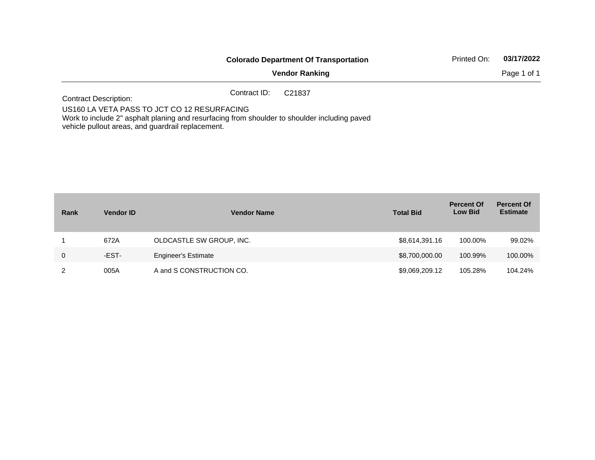|                                                                                                                                                                                                  |              | <b>Colorado Department Of Transportation</b> | Printed On: | 03/17/2022  |  |
|--------------------------------------------------------------------------------------------------------------------------------------------------------------------------------------------------|--------------|----------------------------------------------|-------------|-------------|--|
|                                                                                                                                                                                                  |              | <b>Vendor Ranking</b>                        |             | Page 1 of 1 |  |
| <b>Contract Description:</b>                                                                                                                                                                     | Contract ID: | C21837                                       |             |             |  |
| US160 LA VETA PASS TO JCT CO 12 RESURFACING<br>Work to include 2" asphalt planing and resurfacing from shoulder to shoulder including paved<br>vehicle pullout areas, and guardrail replacement. |              |                                              |             |             |  |

| Rank | <b>Vendor ID</b> | <b>Vendor Name</b>         | <b>Total Bid</b> | <b>Percent Of</b><br><b>Low Bid</b> | <b>Percent Of</b><br><b>Estimate</b> |
|------|------------------|----------------------------|------------------|-------------------------------------|--------------------------------------|
|      | 672A             | OLDCASTLE SW GROUP, INC.   | \$8,614,391.16   | 100.00%                             | 99.02%                               |
| 0    | -EST-            | <b>Engineer's Estimate</b> | \$8,700,000.00   | 100.99%                             | 100.00%                              |
| າ    | 005A             | A and S CONSTRUCTION CO.   | \$9,069,209.12   | 105.28%                             | 104.24%                              |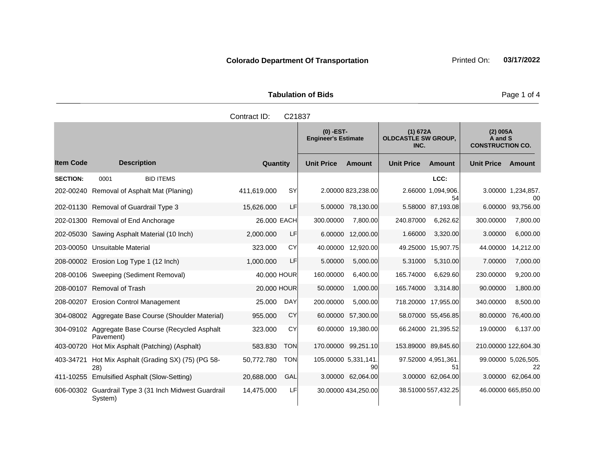|                     | Tabulation of Bids               |                                                |  |
|---------------------|----------------------------------|------------------------------------------------|--|
| Contract ID: C21837 |                                  |                                                |  |
|                     | (0) -EST-<br>Engineer's Estimate | (1) 672A<br><b>OLDCASTLE SW GROUP,</b><br>INC. |  |

**Quantity Unit Price Unit Price Ext** Item Code Description Quantity Unit Price Amount Unit Price Amount Unit Price **Ext Unit Price Amount Ext Amount (2) 005A A and S CONSTRUCTION CO. Description SECTION:** 0001 BID ITEMS **LCC:** 202-00240 Removal of Asphalt Mat (Planing) 411,619.000 SY 2.00000 823,238.00 2.66000 1,094,906. 54 3.00000 1,234,857. 00 202-01130 Removal of Guardrail Type 3 15,626.000 LF 5.00000 78,130.00 5.58000 87,193.08 6.00000 93,756.00 202-01300 Removal of End Anchorage 26.000 EACH 300.00000 7,800.00 240.87000 6,262.62 300.00000 7,800.00 202-05030 Sawing Asphalt Material (10 Inch) 2,000.000 LF 6.00000 12,000.00 1.66000 3,320.00 3.00000 6,000.00 203-00050 Unsuitable Material 323.000 CY 40.00000 12,920.00 49.25000 15,907.75 44.00000 14,212.00 208-00002 Erosion Log Type 1 (12 Inch) 1,000.000 LF 5.00000 5,000.00 5.31000 5,310.00 7.00000 7,000.00 208-00106 Sweeping (Sediment Removal) 40.000 HOUR 160.00000 6,400.00 165.74000 6,629.60 230.00000 9,200.00 208-00107 Removal of Trash 20.000 HOUR 50.00000 1,000.00 165.74000 3,314.80 90.00000 1,800.00 208-00207 Erosion Control Management 25.000 DAY 200.00000 5,000.00 718.20000 17,955.00 340.00000 8,500.00 304-08002 Aggregate Base Course (Shoulder Material) 955.000 CY 60.00000 57,300.00 58.07000 55,456.85 80.00000 76,400.00 304-09102 Aggregate Base Course (Recycled Asphalt Pavement) 323.000 CY 60.00000 19,380.00 66.24000 21,395.52 19.00000 6,137.00 403-00720 Hot Mix Asphalt (Patching) (Asphalt) 583.830 TON 170.00000 99,251.10 153.89000 89,845.60 210.00000 122,604.30 403-34721 Hot Mix Asphalt (Grading SX) (75) (PG 58- 28) 50,772.780 TON 105.00000 5,331,141. 90 97.52000 4,951,361. 51 99.00000 5,026,505. 22 411-10255 Emulsified Asphalt (Slow-Setting) 20,688.000 GAL 3.00000 62,064.00 3.00000 62,064.00 3.00000 62,064.00 606-00302 Guardrail Type 3 (31 Inch Midwest Guardrail System) 14,475.000 LF 30.00000 434,250.00 38.51000 557,432.25 46.00000 665,850.00

Page 1 of 4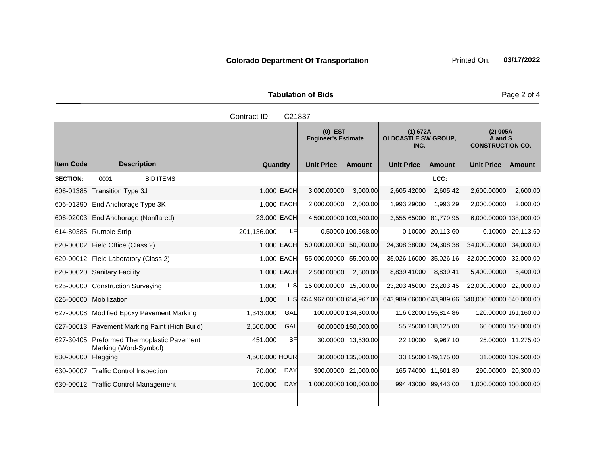|                     | <b>Tabulation of Bids</b> |
|---------------------|---------------------------|
| Contract ID: C21837 |                           |

|                                                                     |             |            |                                                                                                                 |           | INC.                                                                       |                                                                                                                                                                                                                                                                           | (2) 005A<br>A and S<br><b>CONSTRUCTION CO.</b>                                                                                             |                                                                                                                                                                                                             |
|---------------------------------------------------------------------|-------------|------------|-----------------------------------------------------------------------------------------------------------------|-----------|----------------------------------------------------------------------------|---------------------------------------------------------------------------------------------------------------------------------------------------------------------------------------------------------------------------------------------------------------------------|--------------------------------------------------------------------------------------------------------------------------------------------|-------------------------------------------------------------------------------------------------------------------------------------------------------------------------------------------------------------|
| <b>Description</b>                                                  |             |            | <b>Unit Price</b>                                                                                               |           | <b>Unit Price</b>                                                          | Amount                                                                                                                                                                                                                                                                    | <b>Unit Price</b>                                                                                                                          | Amount                                                                                                                                                                                                      |
| 0001<br><b>BID ITEMS</b>                                            |             |            |                                                                                                                 |           |                                                                            | LCC:                                                                                                                                                                                                                                                                      |                                                                                                                                            |                                                                                                                                                                                                             |
| Transition Type 3J                                                  |             |            | 3,000.00000                                                                                                     | 3,000.00  | 2,605.42000                                                                | 2,605.42                                                                                                                                                                                                                                                                  | 2,600.00000                                                                                                                                | 2,600.00                                                                                                                                                                                                    |
| 606-01390 End Anchorage Type 3K                                     |             |            | 2,000.00000                                                                                                     | 2,000.00  | 1,993.29000                                                                | 1.993.29                                                                                                                                                                                                                                                                  | 2,000.00000                                                                                                                                | 2.000.00                                                                                                                                                                                                    |
| 606-02003 End Anchorage (Nonflared)                                 |             |            |                                                                                                                 |           |                                                                            |                                                                                                                                                                                                                                                                           | 6,000.00000 138,000.00                                                                                                                     |                                                                                                                                                                                                             |
| 614-80385 Rumble Strip                                              | 201,136.000 | LFI        |                                                                                                                 |           |                                                                            |                                                                                                                                                                                                                                                                           |                                                                                                                                            | 0.10000 20,113.60                                                                                                                                                                                           |
| 620-00002 Field Office (Class 2)                                    |             |            |                                                                                                                 |           |                                                                            |                                                                                                                                                                                                                                                                           | 34,000.00000 34,000.00                                                                                                                     |                                                                                                                                                                                                             |
| 620-00012 Field Laboratory (Class 2)                                |             |            |                                                                                                                 | 55,000.00 |                                                                            |                                                                                                                                                                                                                                                                           | 32,000.00000 32,000.00                                                                                                                     |                                                                                                                                                                                                             |
| 620-00020 Sanitary Facility                                         |             |            | 2,500.00000                                                                                                     | 2,500.00  |                                                                            | 8,839.41                                                                                                                                                                                                                                                                  | 5,400.00000                                                                                                                                | 5,400.00                                                                                                                                                                                                    |
| 625-00000 Construction Surveying                                    | 1.000       | L SI       |                                                                                                                 |           |                                                                            |                                                                                                                                                                                                                                                                           | 22,000.00000 22,000.00                                                                                                                     |                                                                                                                                                                                                             |
| 626-00000 Mobilization                                              | 1.000       | L S        |                                                                                                                 |           |                                                                            |                                                                                                                                                                                                                                                                           | 640,000.00000 640,000.00                                                                                                                   |                                                                                                                                                                                                             |
| 627-00008 Modified Epoxy Pavement Marking                           | 1.343.000   | GAL        |                                                                                                                 |           |                                                                            |                                                                                                                                                                                                                                                                           |                                                                                                                                            | 120.00000 161,160.00                                                                                                                                                                                        |
| 627-00013 Pavement Marking Paint (High Build)                       | 2,500.000   | GAL        |                                                                                                                 |           |                                                                            |                                                                                                                                                                                                                                                                           |                                                                                                                                            | 60.00000 150,000.00                                                                                                                                                                                         |
| 627-30405 Preformed Thermoplastic Pavement<br>Marking (Word-Symbol) | 451.000     | <b>SF</b>  |                                                                                                                 |           |                                                                            |                                                                                                                                                                                                                                                                           |                                                                                                                                            | 25.00000 11,275.00                                                                                                                                                                                          |
| 630-00000 Flagging                                                  |             |            |                                                                                                                 |           |                                                                            |                                                                                                                                                                                                                                                                           |                                                                                                                                            | 31.00000 139,500.00                                                                                                                                                                                         |
| 630-00007 Traffic Control Inspection                                | 70.000      | <b>DAY</b> |                                                                                                                 |           |                                                                            |                                                                                                                                                                                                                                                                           | 290.00000 20,300.00                                                                                                                        |                                                                                                                                                                                                             |
| 630-00012 Traffic Control Management                                | 100.000     | <b>DAY</b> |                                                                                                                 |           |                                                                            |                                                                                                                                                                                                                                                                           | 1,000.00000 100,000.00                                                                                                                     |                                                                                                                                                                                                             |
|                                                                     |             |            | Quantity<br>1.000 EACH<br>1.000 EACH<br>23,000 EACH<br>1.000 EACH<br>1.000 EACH<br>1.000 EACH<br>4,500.000 HOUR |           | $(0)$ -EST-<br><b>Engineer's Estimate</b><br><b>Amount</b><br>55,000.00000 | 4,500.00000 103,500.00<br>0.50000 100,568.00<br>50,000.00000 50,000.00<br>15,000.00000 15,000.00<br>654,967.00000 654,967.00<br>100.00000 134,300.00<br>60.00000 150,000.00<br>30.00000 13,530.00<br>30.00000 135,000.00<br>300.00000 21,000.00<br>1,000.00000 100,000.00 | (1) 672A<br><b>OLDCASTLE SW GROUP,</b><br>8,839.41000<br>23,203.45000 23,203.45<br>116.02000 155,814.86<br>22.10000<br>994.43000 99,443.00 | 3,555.65000 81,779.95<br>0.10000 20,113.60<br>24,308.38000 24,308.38<br>35,026.16000 35,026.16<br>643,989.66000 643,989.66<br>55.25000 138,125.00<br>9.967.10<br>33.15000 149,175.00<br>165.74000 11,601.80 |

Page 2 of 4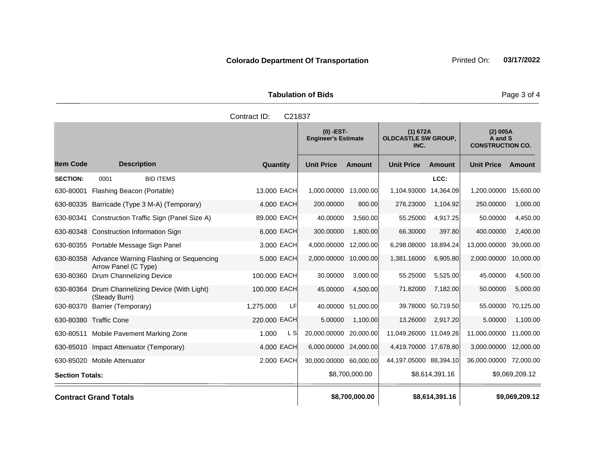|                     | <b>Tabulation of Bids</b>        |                                                |  |
|---------------------|----------------------------------|------------------------------------------------|--|
| Contract ID: C21837 |                                  |                                                |  |
|                     | (0) -EST-<br>Engineer's Estimate | (1) 672A<br><b>OLDCASTLE SW GROUP,</b><br>INC. |  |

|                        |                                              |                                                  |              |            | $(0)$ -EST-<br><b>Engineer's Estimate</b> |                |                        | (1) 672A<br><b>OLDCASTLE SW GROUP,</b> | (2) 005A<br>A and S<br><b>CONSTRUCTION CO.</b> |                |
|------------------------|----------------------------------------------|--------------------------------------------------|--------------|------------|-------------------------------------------|----------------|------------------------|----------------------------------------|------------------------------------------------|----------------|
| <b>Item Code</b>       | <b>Description</b>                           |                                                  | Quantity     |            | <b>Unit Price</b>                         | Amount         | <b>Unit Price</b>      | Amount                                 | <b>Unit Price</b>                              | Amount         |
| <b>SECTION:</b>        | 0001                                         | <b>BID ITEMS</b>                                 |              |            |                                           |                |                        | LCC:                                   |                                                |                |
| 630-80001              | Flashing Beacon (Portable)                   |                                                  | 13.000 EACH  |            | 1,000.00000 13,000.00                     |                | 1,104.93000            | 14,364.09                              | 1,200.00000                                    | 15,600.00      |
|                        | 630-80335 Barricade (Type 3 M-A) (Temporary) |                                                  |              | 4.000 EACH | 200.00000                                 | 800.00         | 276.23000              | 1,104.92                               | 250.00000                                      | 1,000.00       |
| 630-80341              |                                              | Construction Traffic Sign (Panel Size A)         | 89.000 EACH  |            | 40.00000                                  | 3,560.00       | 55.25000               | 4,917.25                               | 50.00000                                       | 4,450.00       |
|                        | 630-80348 Construction Information Sign      |                                                  |              | 6.000 EACH | 300.00000                                 | 1,800.00       | 66.30000               | 397.80                                 | 400.00000                                      | 2,400.00       |
|                        | 630-80355 Portable Message Sign Panel        |                                                  |              | 3.000 EACH | 4,000.00000                               | 12,000.00      | 6,298.08000            | 18,894.24                              | 13,000.00000                                   | 39,000.00      |
|                        | Arrow Panel (C Type)                         | 630-80358 Advance Warning Flashing or Sequencing |              | 5.000 EACH | 2,000.00000                               | 10,000.00      | 1,381.16000            | 6,905.80                               | 2,000.00000                                    | 10,000.00      |
|                        | 630-80360 Drum Channelizing Device           |                                                  | 100.000 EACH |            | 30.00000                                  | 3,000.00       | 55.25000               | 5,525.00                               | 45.00000                                       | 4,500.00       |
| 630-80364              | (Steady Burn)                                | Drum Channelizing Device (With Light)            | 100.000 EACH |            | 45.00000                                  | 4,500.00       | 71.82000               | 7,182.00                               | 50.00000                                       | 5,000.00       |
| 630-80370              | Barrier (Temporary)                          |                                                  | 1,275.000    | LF         | 40.00000                                  | 51,000.00      |                        | 39.78000 50,719.50                     | 55.00000                                       | 70,125.00      |
|                        | 630-80380 Traffic Cone                       |                                                  | 220.000 EACH |            | 5.00000                                   | 1,100.00       | 13.26000               | 2,917.20                               | 5.00000                                        | 1,100.00       |
|                        | 630-80511 Mobile Pavement Marking Zone       |                                                  | 1.000        | L S        | 20,000.00000                              | 20,000.00      | 11,049.26000 11,049.26 |                                        | 11,000.00000                                   | 11,000.00      |
|                        | 630-85010 Impact Attenuator (Temporary)      |                                                  |              | 4.000 EACH | 6,000.00000 24,000.00                     |                | 4,419.70000 17,678.80  |                                        | 3,000.00000                                    | 12,000.00      |
|                        | 630-85020 Mobile Attenuator                  |                                                  |              | 2.000 EACH | 30,000.00000 60,000.00                    |                | 44,197.05000 88,394.10 |                                        | 36,000.00000 72,000.00                         |                |
| <b>Section Totals:</b> |                                              |                                                  |              |            |                                           | \$8,700,000.00 |                        | \$8,614,391.16                         |                                                | \$9,069,209.12 |
|                        | <b>Contract Grand Totals</b>                 |                                                  |              |            |                                           | \$8,700,000.00 |                        | \$8,614,391.16                         |                                                | \$9,069,209.12 |

Page 3 of 4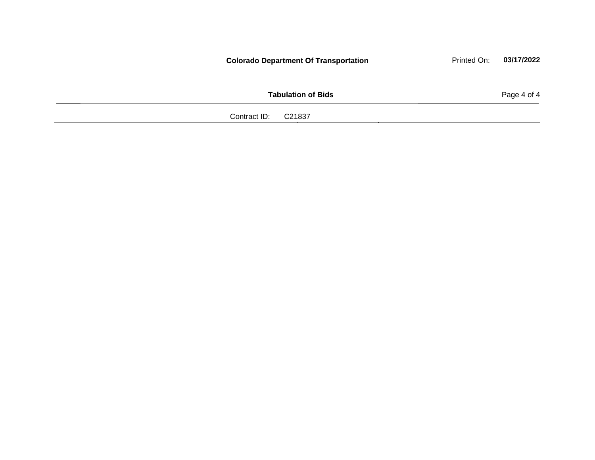| <b>Colorado Department Of Transportation</b> | Printed On: | 03/17/2022  |
|----------------------------------------------|-------------|-------------|
| <b>Tabulation of Bids</b>                    |             | Page 4 of 4 |
| Contract ID: C21837                          |             |             |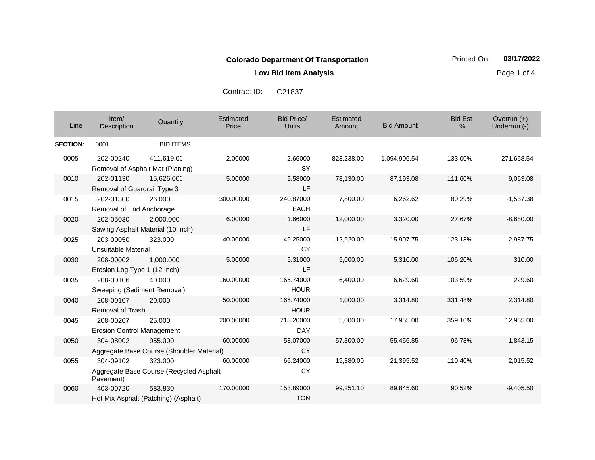Contract ID: C21837

**Low Bid Item Analysis Page 1 of 4** 

| Line            | Item/<br>Description                           | Quantity                                             | Estimated<br>Price | Bid Price/<br><b>Units</b> | Estimated<br>Amount | <b>Bid Amount</b> | <b>Bid Est</b><br>% | Overrun $(+)$<br>Underrun (-) |
|-----------------|------------------------------------------------|------------------------------------------------------|--------------------|----------------------------|---------------------|-------------------|---------------------|-------------------------------|
| <b>SECTION:</b> | 0001                                           | <b>BID ITEMS</b>                                     |                    |                            |                     |                   |                     |                               |
| 0005            | 202-00240                                      | 411,619.00<br>Removal of Asphalt Mat (Planing)       | 2.00000            | 2.66000<br><b>SY</b>       | 823,238.00          | 1,094,906.54      | 133.00%             | 271,668.54                    |
| 0010            | 202-01130<br>Removal of Guardrail Type 3       | 15,626.000                                           | 5.00000            | 5.58000<br>LF              | 78,130.00           | 87,193.08         | 111.60%             | 9,063.08                      |
| 0015            | 202-01300<br>Removal of End Anchorage          | 26,000                                               | 300.00000          | 240.87000<br><b>EACH</b>   | 7.800.00            | 6,262.62          | 80.29%              | $-1,537.38$                   |
| 0020            | 202-05030                                      | 2,000.000<br>Sawing Asphalt Material (10 Inch)       | 6.00000            | 1.66000<br>LF              | 12,000.00           | 3,320.00          | 27.67%              | $-8,680.00$                   |
| 0025            | 203-00050<br>Unsuitable Material               | 323.000                                              | 40.00000           | 49.25000<br><b>CY</b>      | 12,920.00           | 15,907.75         | 123.13%             | 2,987.75                      |
| 0030            | 208-00002<br>Erosion Log Type 1 (12 Inch)      | 1,000.000                                            | 5.00000            | 5.31000<br>LF              | 5,000.00            | 5,310.00          | 106.20%             | 310.00                        |
| 0035            | 208-00106<br>Sweeping (Sediment Removal)       | 40.000                                               | 160.00000          | 165.74000<br><b>HOUR</b>   | 6,400.00            | 6,629.60          | 103.59%             | 229.60                        |
| 0040            | 208-00107<br><b>Removal of Trash</b>           | 20.000                                               | 50.00000           | 165.74000<br><b>HOUR</b>   | 1,000.00            | 3,314.80          | 331.48%             | 2,314.80                      |
| 0045            | 208-00207<br><b>Erosion Control Management</b> | 25.000                                               | 200.00000          | 718.20000<br><b>DAY</b>    | 5,000.00            | 17,955.00         | 359.10%             | 12,955.00                     |
| 0050            | 304-08002                                      | 955.000<br>Aggregate Base Course (Shoulder Material) | 60.00000           | 58.07000<br><b>CY</b>      | 57,300.00           | 55,456.85         | 96.78%              | $-1,843.15$                   |
| 0055            | 304-09102<br>Pavement)                         | 323.000<br>Aggregate Base Course (Recycled Asphalt   | 60.00000           | 66.24000<br><b>CY</b>      | 19,380.00           | 21,395.52         | 110.40%             | 2,015.52                      |
| 0060            | 403-00720                                      | 583.830<br>Hot Mix Asphalt (Patching) (Asphalt)      | 170.00000          | 153.89000<br><b>TON</b>    | 99,251.10           | 89,845.60         | 90.52%              | $-9,405.50$                   |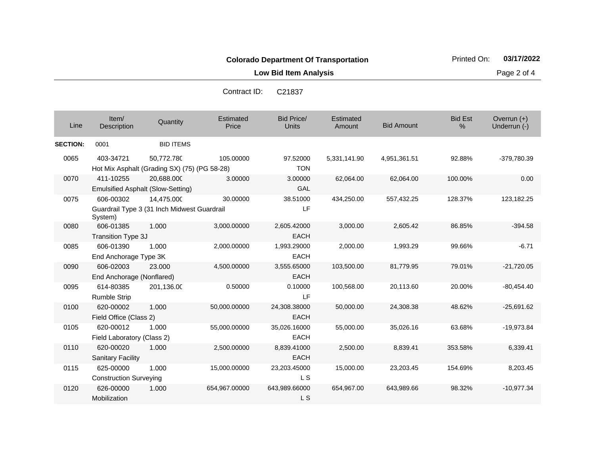Contract ID: C21837

| Line            | Item/<br>Description                                  | Quantity                                                   | <b>Estimated</b><br>Price | <b>Bid Price/</b><br><b>Units</b> | <b>Estimated</b><br>Amount | <b>Bid Amount</b> | <b>Bid Est</b><br>% | Overrun $(+)$<br>Underrun (-) |
|-----------------|-------------------------------------------------------|------------------------------------------------------------|---------------------------|-----------------------------------|----------------------------|-------------------|---------------------|-------------------------------|
| <b>SECTION:</b> | 0001                                                  | <b>BID ITEMS</b>                                           |                           |                                   |                            |                   |                     |                               |
| 0065            | 403-34721                                             | 50,772.780<br>Hot Mix Asphalt (Grading SX) (75) (PG 58-28) | 105.00000                 | 97.52000<br><b>TON</b>            | 5,331,141.90               | 4,951,361.51      | 92.88%              | -379,780.39                   |
| 0070            | 411-10255<br><b>Emulsified Asphalt (Slow-Setting)</b> | 20,688.000                                                 | 3.00000                   | 3.00000<br>GAL                    | 62,064.00                  | 62,064.00         | 100.00%             | 0.00                          |
| 0075            | 606-00302<br>System)                                  | 14.475.000<br>Guardrail Type 3 (31 Inch Midwest Guardrail  | 30.00000                  | 38.51000<br>LF                    | 434,250.00                 | 557,432.25        | 128.37%             | 123,182.25                    |
| 0080            | 606-01385<br>Transition Type 3J                       | 1.000                                                      | 3,000.00000               | 2,605.42000<br><b>EACH</b>        | 3,000.00                   | 2,605.42          | 86.85%              | $-394.58$                     |
| 0085            | 606-01390<br>End Anchorage Type 3K                    | 1.000                                                      | 2,000.00000               | 1,993.29000<br><b>EACH</b>        | 2,000.00                   | 1,993.29          | 99.66%              | $-6.71$                       |
| 0090            | 606-02003<br>End Anchorage (Nonflared)                | 23.000                                                     | 4,500.00000               | 3,555.65000<br><b>EACH</b>        | 103,500.00                 | 81,779.95         | 79.01%              | $-21,720.05$                  |
| 0095            | 614-80385<br><b>Rumble Strip</b>                      | 201,136.00                                                 | 0.50000                   | 0.10000<br>LF                     | 100,568.00                 | 20,113.60         | 20.00%              | $-80,454.40$                  |
| 0100            | 620-00002<br>Field Office (Class 2)                   | 1.000                                                      | 50,000.00000              | 24,308.38000<br><b>EACH</b>       | 50,000.00                  | 24,308.38         | 48.62%              | $-25,691.62$                  |
| 0105            | 620-00012<br>Field Laboratory (Class 2)               | 1.000                                                      | 55,000.00000              | 35,026.16000<br><b>EACH</b>       | 55,000.00                  | 35,026.16         | 63.68%              | $-19.973.84$                  |
| 0110            | 620-00020<br><b>Sanitary Facility</b>                 | 1.000                                                      | 2,500.00000               | 8,839.41000<br><b>EACH</b>        | 2,500.00                   | 8,839.41          | 353.58%             | 6,339.41                      |
| 0115            | 625-00000<br><b>Construction Surveying</b>            | 1.000                                                      | 15,000.00000              | 23,203.45000<br>L S               | 15,000.00                  | 23,203.45         | 154.69%             | 8,203.45                      |
| 0120            | 626-00000<br>Mobilization                             | 1.000                                                      | 654,967.00000             | 643,989.66000<br>L S              | 654,967.00                 | 643,989.66        | 98.32%              | $-10,977.34$                  |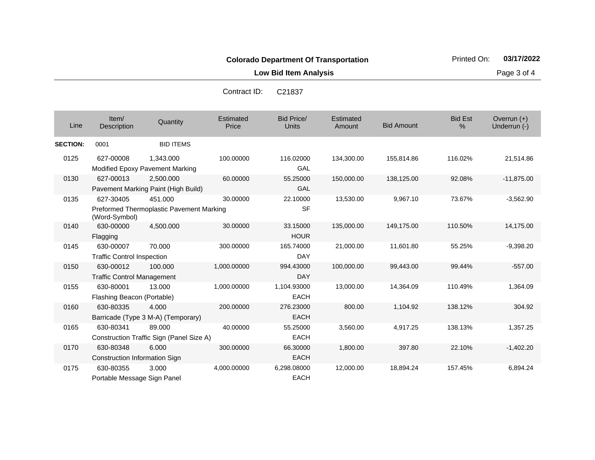**Low Bid Item Analysis Page 3 of 4** 

| C <sub>21837</sub> | Contract ID: |
|--------------------|--------------|
|                    |              |

| Line            | Item/<br>Description                              | Quantity                                            | <b>Estimated</b><br>Price | <b>Bid Price/</b><br><b>Units</b> | Estimated<br>Amount | <b>Bid Amount</b> | <b>Bid Est</b><br>$\%$ | Overrun $(+)$<br>Underrun (-) |
|-----------------|---------------------------------------------------|-----------------------------------------------------|---------------------------|-----------------------------------|---------------------|-------------------|------------------------|-------------------------------|
| <b>SECTION:</b> | 0001                                              | <b>BID ITEMS</b>                                    |                           |                                   |                     |                   |                        |                               |
| 0125            | 627-00008                                         | 1,343.000<br>Modified Epoxy Pavement Marking        | 100.00000                 | 116.02000<br>GAL                  | 134,300.00          | 155,814.86        | 116.02%                | 21,514.86                     |
| 0130            | 627-00013                                         | 2,500.000<br>Pavement Marking Paint (High Build)    | 60.00000                  | 55.25000<br>GAL                   | 150,000.00          | 138,125.00        | 92.08%                 | $-11,875.00$                  |
| 0135            | 627-30405<br>(Word-Symbol)                        | 451.000<br>Preformed Thermoplastic Pavement Marking | 30.00000                  | 22.10000<br><b>SF</b>             | 13,530.00           | 9,967.10          | 73.67%                 | $-3,562.90$                   |
| 0140            | 630-00000<br>Flagging                             | 4,500.000                                           | 30.00000                  | 33.15000<br><b>HOUR</b>           | 135,000.00          | 149,175.00        | 110.50%                | 14,175.00                     |
| 0145            | 630-00007<br><b>Traffic Control Inspection</b>    | 70.000                                              | 300.00000                 | 165.74000<br><b>DAY</b>           | 21,000.00           | 11,601.80         | 55.25%                 | $-9,398.20$                   |
| 0150            | 630-00012<br><b>Traffic Control Management</b>    | 100.000                                             | 1,000.00000               | 994.43000<br><b>DAY</b>           | 100,000.00          | 99,443.00         | 99.44%                 | $-557.00$                     |
| 0155            | 630-80001<br>Flashing Beacon (Portable)           | 13.000                                              | 1,000.00000               | 1,104.93000<br><b>EACH</b>        | 13,000.00           | 14,364.09         | 110.49%                | 1,364.09                      |
| 0160            | 630-80335                                         | 4.000<br>Barricade (Type 3 M-A) (Temporary)         | 200.00000                 | 276.23000<br><b>EACH</b>          | 800.00              | 1,104.92          | 138.12%                | 304.92                        |
| 0165            | 630-80341                                         | 89,000<br>Construction Traffic Sign (Panel Size A)  | 40.00000                  | 55.25000<br><b>EACH</b>           | 3,560.00            | 4,917.25          | 138.13%                | 1,357.25                      |
| 0170            | 630-80348<br><b>Construction Information Sign</b> | 6.000                                               | 300.00000                 | 66.30000<br><b>EACH</b>           | 1,800.00            | 397.80            | 22.10%                 | $-1,402.20$                   |
| 0175            | 630-80355<br>Portable Message Sign Panel          | 3.000                                               | 4,000.00000               | 6,298.08000<br><b>EACH</b>        | 12,000.00           | 18,894.24         | 157.45%                | 6,894.24                      |